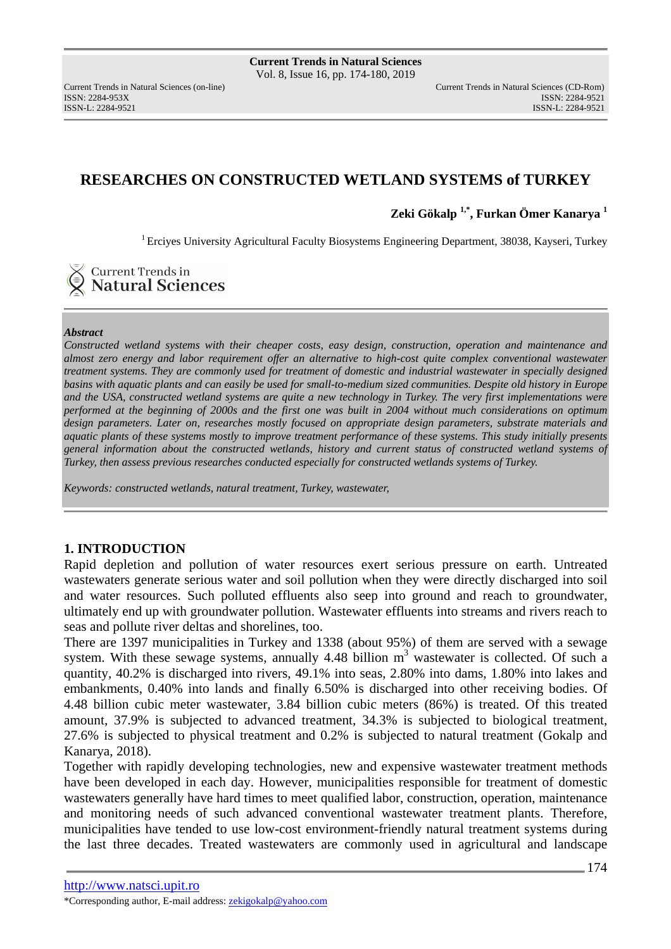ISSN: 2284-953XISSN: 2284-9521

# **RESEARCHES ON CONSTRUCTED WETLAND SYSTEMS of TURKEY**

**Zeki Gökalp 1,\*, Furkan Ömer Kanarya <sup>1</sup>** 

<sup>1</sup> Ercives University Agricultural Faculty Biosystems Engineering Department, 38038, Kayseri, Turkey

**Current Trends in Natural Sciences** 

#### *Abstract*

*Constructed wetland systems with their cheaper costs, easy design, construction, operation and maintenance and almost zero energy and labor requirement offer an alternative to high-cost quite complex conventional wastewater treatment systems. They are commonly used for treatment of domestic and industrial wastewater in specially designed basins with aquatic plants and can easily be used for small-to-medium sized communities. Despite old history in Europe and the USA, constructed wetland systems are quite a new technology in Turkey. The very first implementations were performed at the beginning of 2000s and the first one was built in 2004 without much considerations on optimum design parameters. Later on, researches mostly focused on appropriate design parameters, substrate materials and aquatic plants of these systems mostly to improve treatment performance of these systems. This study initially presents general information about the constructed wetlands, history and current status of constructed wetland systems of Turkey, then assess previous researches conducted especially for constructed wetlands systems of Turkey.* 

*Keywords: constructed wetlands, natural treatment, Turkey, wastewater,* 

## **1. INTRODUCTION**

Rapid depletion and pollution of water resources exert serious pressure on earth. Untreated wastewaters generate serious water and soil pollution when they were directly discharged into soil and water resources. Such polluted effluents also seep into ground and reach to groundwater, ultimately end up with groundwater pollution. Wastewater effluents into streams and rivers reach to seas and pollute river deltas and shorelines, too.

There are 1397 municipalities in Turkey and 1338 (about 95%) of them are served with a sewage system. With these sewage systems, annually 4.48 billion  $m<sup>3</sup>$  wastewater is collected. Of such a quantity, 40.2% is discharged into rivers, 49.1% into seas, 2.80% into dams, 1.80% into lakes and embankments, 0.40% into lands and finally 6.50% is discharged into other receiving bodies. Of 4.48 billion cubic meter wastewater, 3.84 billion cubic meters (86%) is treated. Of this treated amount, 37.9% is subjected to advanced treatment, 34.3% is subjected to biological treatment, 27.6% is subjected to physical treatment and 0.2% is subjected to natural treatment (Gokalp and Kanarya, 2018).

Together with rapidly developing technologies, new and expensive wastewater treatment methods have been developed in each day. However, municipalities responsible for treatment of domestic wastewaters generally have hard times to meet qualified labor, construction, operation, maintenance and monitoring needs of such advanced conventional wastewater treatment plants. Therefore, municipalities have tended to use low-cost environment-friendly natural treatment systems during the last three decades. Treated wastewaters are commonly used in agricultural and landscape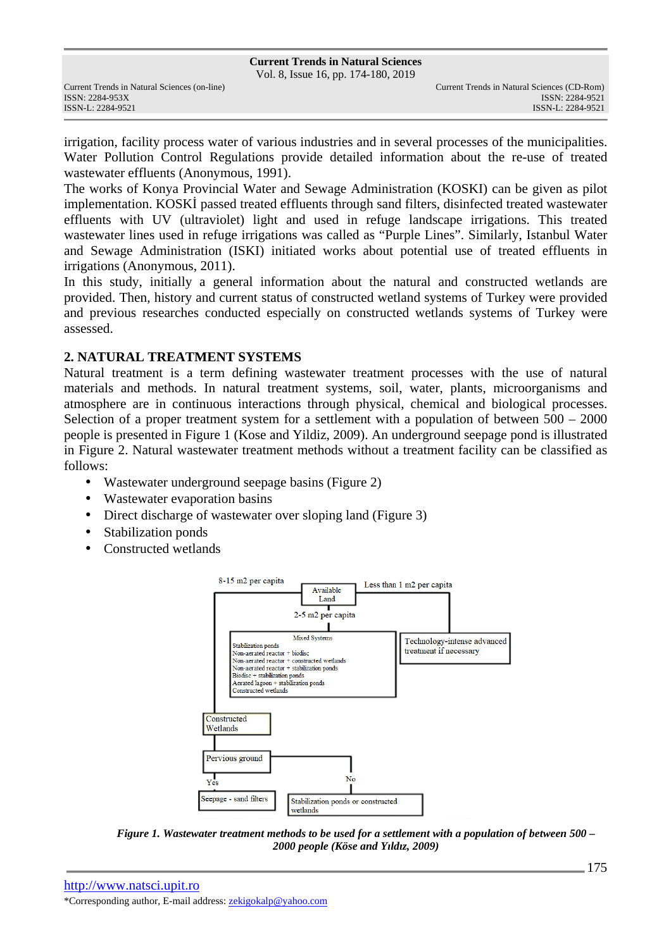Vol. 8, Issue 16, pp. 174-180, 2019

irrigation, facility process water of various industries and in several processes of the municipalities. Water Pollution Control Regulations provide detailed information about the re-use of treated wastewater effluents (Anonymous, 1991).

The works of Konya Provincial Water and Sewage Administration (KOSKI) can be given as pilot implementation. KOSKİ passed treated effluents through sand filters, disinfected treated wastewater effluents with UV (ultraviolet) light and used in refuge landscape irrigations. This treated wastewater lines used in refuge irrigations was called as "Purple Lines". Similarly, Istanbul Water and Sewage Administration (ISKI) initiated works about potential use of treated effluents in irrigations (Anonymous, 2011).

In this study, initially a general information about the natural and constructed wetlands are provided. Then, history and current status of constructed wetland systems of Turkey were provided and previous researches conducted especially on constructed wetlands systems of Turkey were assessed.

## **2. NATURAL TREATMENT SYSTEMS**

Natural treatment is a term defining wastewater treatment processes with the use of natural materials and methods. In natural treatment systems, soil, water, plants, microorganisms and atmosphere are in continuous interactions through physical, chemical and biological processes. Selection of a proper treatment system for a settlement with a population of between  $500 - 2000$ people is presented in Figure 1 (Kose and Yildiz, 2009). An underground seepage pond is illustrated in Figure 2. Natural wastewater treatment methods without a treatment facility can be classified as follows:

- Wastewater underground seepage basins (Figure 2)
- Wastewater evaporation basins
- Direct discharge of wastewater over sloping land (Figure 3)
- Stabilization ponds
- Constructed wetlands



*Figure 1. Wastewater treatment methods to be used for a settlement with a population of between 500 – 2000 people (Köse and Yıldız, 2009)*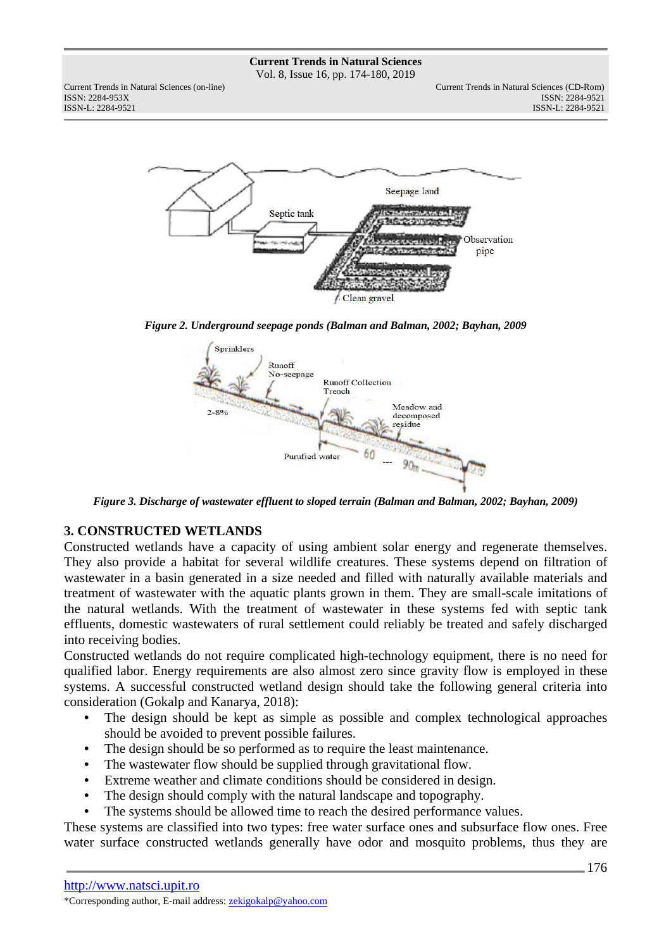Vol. 8, Issue 16, pp. 174-180, 2019

ISSN: 2284-953XISSN: 2284-9521

Current Trends in Natural Sciences (on-line) Current Trends in Natural Sciences (CD-Rom) ISSN-L: 2284-9521



*Figure 2. Underground seepage ponds (Balman and Balman, 2002; Bayhan, 2009* 



*Figure 3. Discharge of wastewater effluent to sloped terrain (Balman and Balman, 2002; Bayhan, 2009)* 

## **3. CONSTRUCTED WETLANDS**

Constructed wetlands have a capacity of using ambient solar energy and regenerate themselves. They also provide a habitat for several wildlife creatures. These systems depend on filtration of wastewater in a basin generated in a size needed and filled with naturally available materials and treatment of wastewater with the aquatic plants grown in them. They are small-scale imitations of the natural wetlands. With the treatment of wastewater in these systems fed with septic tank effluents, domestic wastewaters of rural settlement could reliably be treated and safely discharged into receiving bodies.

Constructed wetlands do not require complicated high-technology equipment, there is no need for qualified labor. Energy requirements are also almost zero since gravity flow is employed in these systems. A successful constructed wetland design should take the following general criteria into consideration (Gokalp and Kanarya, 2018):

- The design should be kept as simple as possible and complex technological approaches should be avoided to prevent possible failures.
- The design should be so performed as to require the least maintenance.
- The wastewater flow should be supplied through gravitational flow.
- Extreme weather and climate conditions should be considered in design.
- The design should comply with the natural landscape and topography.
- The systems should be allowed time to reach the desired performance values.

These systems are classified into two types: free water surface ones and subsurface flow ones. Free water surface constructed wetlands generally have odor and mosquito problems, thus they are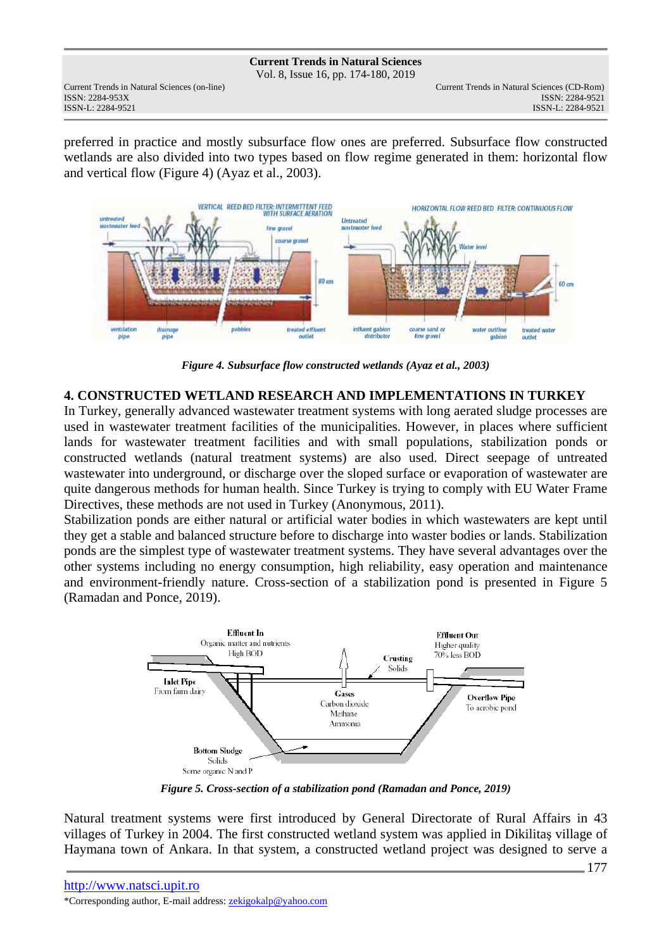Vol. 8, Issue 16, pp. 174-180, 2019

ISSN: 2284-953XISSN: 2284-9521

preferred in practice and mostly subsurface flow ones are preferred. Subsurface flow constructed wetlands are also divided into two types based on flow regime generated in them: horizontal flow and vertical flow (Figure 4) (Ayaz et al., 2003).



*Figure 4. Subsurface flow constructed wetlands (Ayaz et al., 2003)* 

## **4. CONSTRUCTED WETLAND RESEARCH AND IMPLEMENTATIONS IN TURKEY**

In Turkey, generally advanced wastewater treatment systems with long aerated sludge processes are used in wastewater treatment facilities of the municipalities. However, in places where sufficient lands for wastewater treatment facilities and with small populations, stabilization ponds or constructed wetlands (natural treatment systems) are also used. Direct seepage of untreated wastewater into underground, or discharge over the sloped surface or evaporation of wastewater are quite dangerous methods for human health. Since Turkey is trying to comply with EU Water Frame Directives, these methods are not used in Turkey (Anonymous, 2011).

Stabilization ponds are either natural or artificial water bodies in which wastewaters are kept until they get a stable and balanced structure before to discharge into waster bodies or lands. Stabilization ponds are the simplest type of wastewater treatment systems. They have several advantages over the other systems including no energy consumption, high reliability, easy operation and maintenance and environment-friendly nature. Cross-section of a stabilization pond is presented in Figure 5 (Ramadan and Ponce, 2019).



*Figure 5. Cross-section of a stabilization pond (Ramadan and Ponce, 2019)* 

Natural treatment systems were first introduced by General Directorate of Rural Affairs in 43 villages of Turkey in 2004. The first constructed wetland system was applied in Dikilitaş village of Haymana town of Ankara. In that system, a constructed wetland project was designed to serve a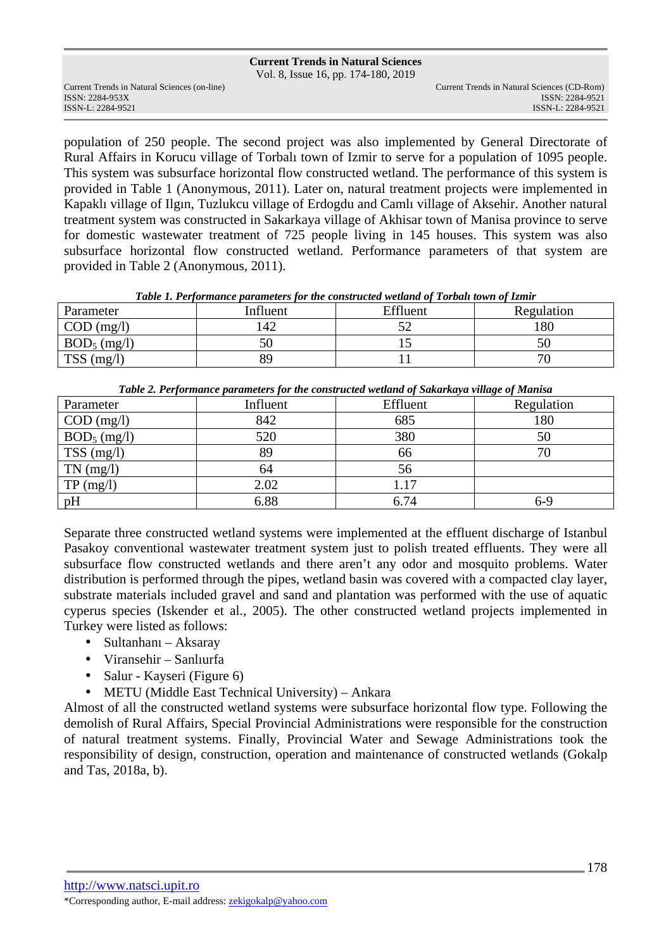Vol. 8, Issue 16, pp. 174-180, 2019

ISSN: 2284-953XISSN: 2284-9521

population of 250 people. The second project was also implemented by General Directorate of Rural Affairs in Korucu village of Torbalı town of Izmir to serve for a population of 1095 people. This system was subsurface horizontal flow constructed wetland. The performance of this system is provided in Table 1 (Anonymous, 2011). Later on, natural treatment projects were implemented in Kapaklı village of Ilgın, Tuzlukcu village of Erdogdu and Camlı village of Aksehir. Another natural treatment system was constructed in Sakarkaya village of Akhisar town of Manisa province to serve for domestic wastewater treatment of 725 people living in 145 houses. This system was also subsurface horizontal flow constructed wetland. Performance parameters of that system are provided in Table 2 (Anonymous, 2011).

| Parameter                   | Influent | Effluent | Regulation |
|-----------------------------|----------|----------|------------|
| $\text{COD} \text{ (mg/l)}$ | 42       |          | 80         |
| $BOD_5$ (mg/l)              |          |          |            |
| <b>TSS</b><br>(mg/l)        | 89       |          |            |

| Table 1. Performance parameters for the constructed wetland of Torball town of Izmir |  |  |  |
|--------------------------------------------------------------------------------------|--|--|--|
|                                                                                      |  |  |  |

| Tuble 2. I erformance parameters for the constructed welland of Sakarkaya village of Manisa |          |          |            |  |
|---------------------------------------------------------------------------------------------|----------|----------|------------|--|
| Parameter                                                                                   | Influent | Effluent | Regulation |  |
| $COD$ (mg/l)                                                                                | 842      | 685      | 180        |  |
| $BOD_5$ (mg/l)                                                                              | 520      | 380      | 50         |  |
| $TSS$ (mg/l)                                                                                | 89       | 66       |            |  |
| $TN$ (mg/l)                                                                                 | 64       | 56       |            |  |
| TP (mg/l)                                                                                   | 2.02     | 1.17     |            |  |
| pH                                                                                          | 6.88     | 6.74     | 6-9        |  |

|  |  | Table 2. Performance parameters for the constructed wetland of Sakarkaya village of Manisa |
|--|--|--------------------------------------------------------------------------------------------|
|--|--|--------------------------------------------------------------------------------------------|

Separate three constructed wetland systems were implemented at the effluent discharge of Istanbul Pasakoy conventional wastewater treatment system just to polish treated effluents. They were all subsurface flow constructed wetlands and there aren't any odor and mosquito problems. Water distribution is performed through the pipes, wetland basin was covered with a compacted clay layer, substrate materials included gravel and sand and plantation was performed with the use of aquatic cyperus species (Iskender et al., 2005). The other constructed wetland projects implemented in Turkey were listed as follows:

- Sultanhanı Aksaray
- Viransehir Sanlıurfa
- Salur Kayseri (Figure 6)
- METU (Middle East Technical University) Ankara

Almost of all the constructed wetland systems were subsurface horizontal flow type. Following the demolish of Rural Affairs, Special Provincial Administrations were responsible for the construction of natural treatment systems. Finally, Provincial Water and Sewage Administrations took the responsibility of design, construction, operation and maintenance of constructed wetlands (Gokalp and Tas, 2018a, b).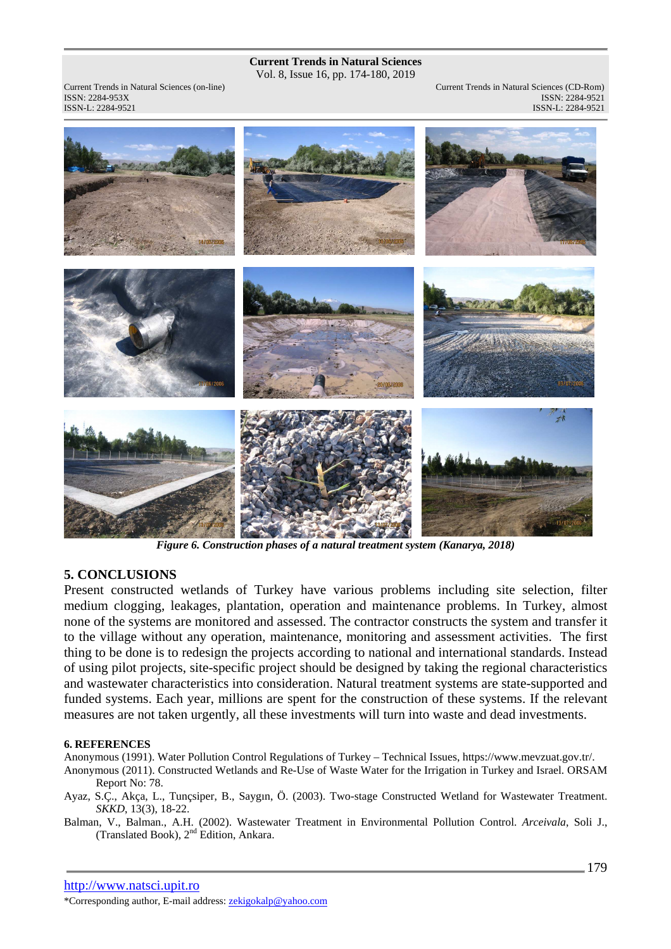Vol. 8, Issue 16, pp. 174-180, 2019

ISSN: 2284-953XISSN: 2284-9521

Current Trends in Natural Sciences (on-line) Current Trends in Natural Sciences (CD-Rom) ISSN-L: 2284-9521 ISSN-L: 2284-9521



*Figure 6. Construction phases of a natural treatment system (Kanarya, 2018)* 

## **5. CONCLUSIONS**

Present constructed wetlands of Turkey have various problems including site selection, filter medium clogging, leakages, plantation, operation and maintenance problems. In Turkey, almost none of the systems are monitored and assessed. The contractor constructs the system and transfer it to the village without any operation, maintenance, monitoring and assessment activities. The first thing to be done is to redesign the projects according to national and international standards. Instead of using pilot projects, site-specific project should be designed by taking the regional characteristics and wastewater characteristics into consideration. Natural treatment systems are state-supported and funded systems. Each year, millions are spent for the construction of these systems. If the relevant measures are not taken urgently, all these investments will turn into waste and dead investments.

### **6. REFERENCES**

Anonymous (1991). Water Pollution Control Regulations of Turkey – Technical Issues, https://www.mevzuat.gov.tr/.

- Anonymous (2011). Constructed Wetlands and Re-Use of Waste Water for the Irrigation in Turkey and Israel. ORSAM Report No: 78.
- Ayaz, S.Ç., Akça, L., Tunçsiper, B., Saygın, Ö. (2003). Two-stage Constructed Wetland for Wastewater Treatment. *SKKD*, 13(3), 18-22.
- Balman, V., Balman., A.H. (2002). Wastewater Treatment in Environmental Pollution Control. *Arceivala*, Soli J., (Translated Book), 2nd Edition, Ankara.